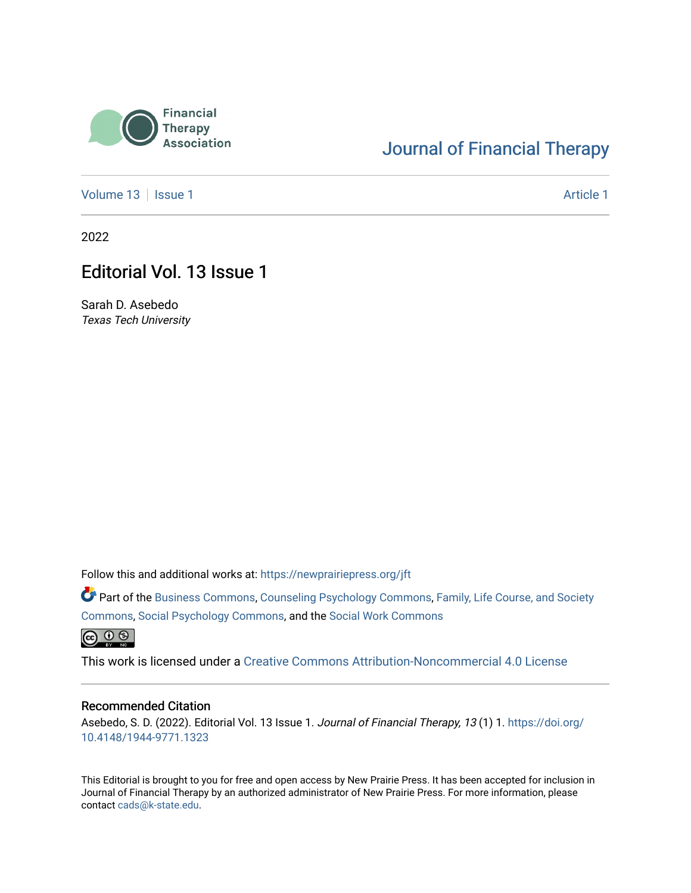

# [Journal of Financial Therapy](https://newprairiepress.org/jft)

[Volume 13](https://newprairiepress.org/jft/vol13) | [Issue 1](https://newprairiepress.org/jft/vol13/iss1) [Article 1](https://newprairiepress.org/jft/vol13/iss1/1) Article 1

2022

## Editorial Vol. 13 Issue 1

Sarah D. Asebedo Texas Tech University

Follow this and additional works at: [https://newprairiepress.org/jft](https://newprairiepress.org/jft?utm_source=newprairiepress.org%2Fjft%2Fvol13%2Fiss1%2F1&utm_medium=PDF&utm_campaign=PDFCoverPages)

Part of the [Business Commons](https://network.bepress.com/hgg/discipline/622?utm_source=newprairiepress.org%2Fjft%2Fvol13%2Fiss1%2F1&utm_medium=PDF&utm_campaign=PDFCoverPages), [Counseling Psychology Commons,](https://network.bepress.com/hgg/discipline/1044?utm_source=newprairiepress.org%2Fjft%2Fvol13%2Fiss1%2F1&utm_medium=PDF&utm_campaign=PDFCoverPages) [Family, Life Course, and Society](https://network.bepress.com/hgg/discipline/419?utm_source=newprairiepress.org%2Fjft%2Fvol13%2Fiss1%2F1&utm_medium=PDF&utm_campaign=PDFCoverPages)  [Commons](https://network.bepress.com/hgg/discipline/419?utm_source=newprairiepress.org%2Fjft%2Fvol13%2Fiss1%2F1&utm_medium=PDF&utm_campaign=PDFCoverPages), [Social Psychology Commons,](https://network.bepress.com/hgg/discipline/414?utm_source=newprairiepress.org%2Fjft%2Fvol13%2Fiss1%2F1&utm_medium=PDF&utm_campaign=PDFCoverPages) and the [Social Work Commons](https://network.bepress.com/hgg/discipline/713?utm_source=newprairiepress.org%2Fjft%2Fvol13%2Fiss1%2F1&utm_medium=PDF&utm_campaign=PDFCoverPages) 

 $\bigcirc$   $\bigcirc$   $\bigcirc$ 

This work is licensed under a [Creative Commons Attribution-Noncommercial 4.0 License](https://creativecommons.org/licenses/by-nc/4.0/)

#### Recommended Citation

Asebedo, S. D. (2022). Editorial Vol. 13 Issue 1. Journal of Financial Therapy, 13 (1) 1. [https://doi.org/](https://doi.org/10.4148/1944-9771.1323) [10.4148/1944-9771.1323](https://doi.org/10.4148/1944-9771.1323)

This Editorial is brought to you for free and open access by New Prairie Press. It has been accepted for inclusion in Journal of Financial Therapy by an authorized administrator of New Prairie Press. For more information, please contact [cads@k-state.edu](mailto:cads@k-state.edu).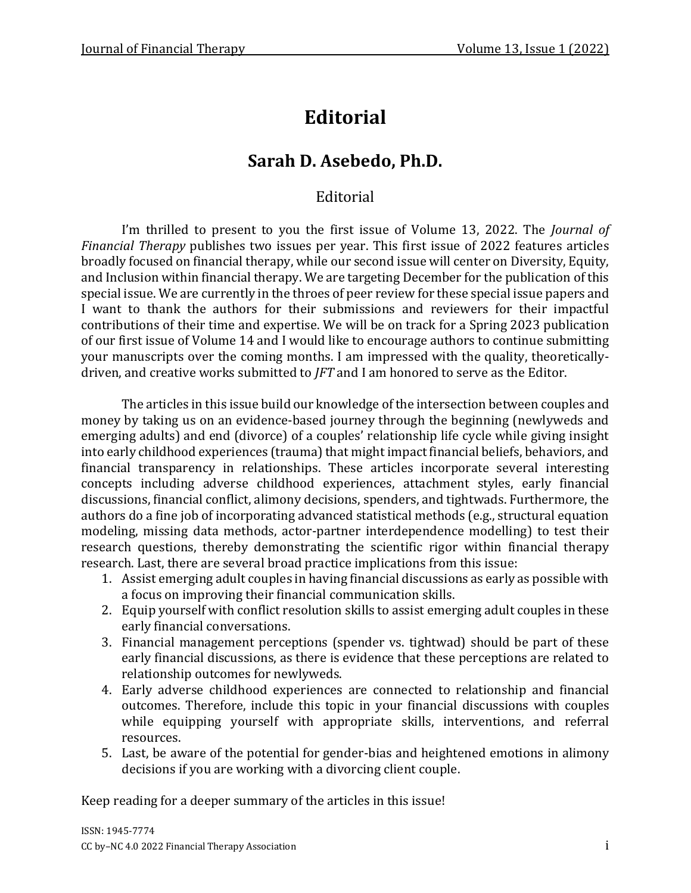# **Editorial**

# **Sarah D. Asebedo, Ph.D.**

### Editorial

I'm thrilled to present to you the first issue of Volume 13, 2022. The *Journal of Financial Therapy* publishes two issues per year. This first issue of 2022 features articles broadly focused on financial therapy, while our second issue will center on Diversity, Equity, and Inclusion within financial therapy. We are targeting December for the publication of this special issue. We are currently in the throes of peer review for these special issue papers and I want to thank the authors for their submissions and reviewers for their impactful contributions of their time and expertise. We will be on track for a Spring 2023 publication of our first issue of Volume 14 and I would like to encourage authors to continue submitting your manuscripts over the coming months. I am impressed with the quality, theoreticallydriven, and creative works submitted to *JFT* and I am honored to serve as the Editor.

The articles in this issue build our knowledge of the intersection between couples and money by taking us on an evidence-based journey through the beginning (newlyweds and emerging adults) and end (divorce) of a couples' relationship life cycle while giving insight into early childhood experiences (trauma) that might impact financial beliefs, behaviors, and financial transparency in relationships. These articles incorporate several interesting concepts including adverse childhood experiences, attachment styles, early financial discussions, financial conflict, alimony decisions, spenders, and tightwads. Furthermore, the authors do a fine job of incorporating advanced statistical methods (e.g., structural equation modeling, missing data methods, actor-partner interdependence modelling) to test their research questions, thereby demonstrating the scientific rigor within financial therapy research. Last, there are several broad practice implications from this issue:

- 1. Assist emerging adult couples in having financial discussions as early as possible with a focus on improving their financial communication skills.
- 2. Equip yourself with conflict resolution skills to assist emerging adult couples in these early financial conversations.
- 3. Financial management perceptions (spender vs. tightwad) should be part of these early financial discussions, as there is evidence that these perceptions are related to relationship outcomes for newlyweds.
- 4. Early adverse childhood experiences are connected to relationship and financial outcomes. Therefore, include this topic in your financial discussions with couples while equipping yourself with appropriate skills, interventions, and referral resources.
- 5. Last, be aware of the potential for gender-bias and heightened emotions in alimony decisions if you are working with a divorcing client couple.

Keep reading for a deeper summary of the articles in this issue!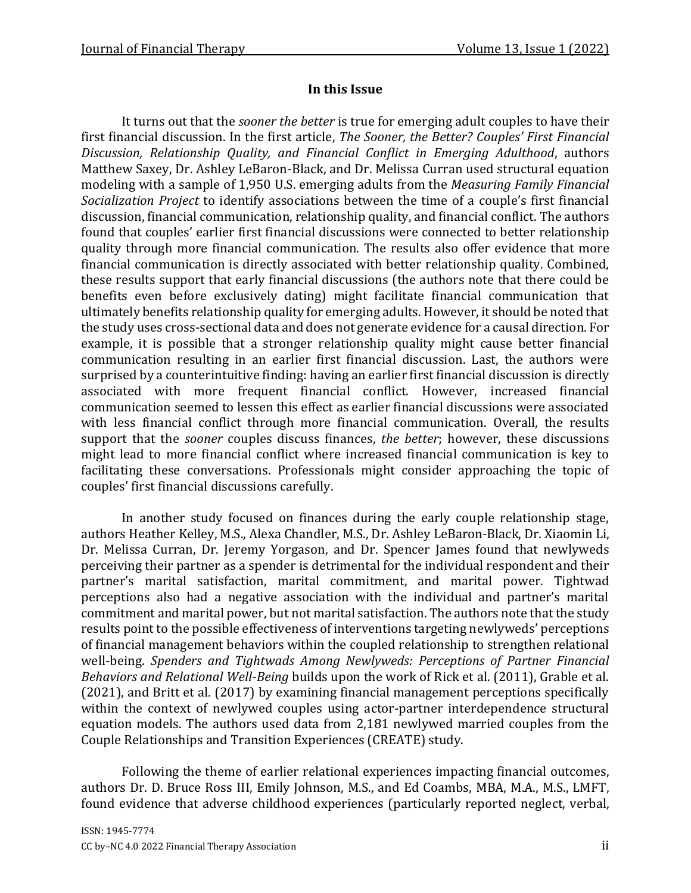### **In this Issue**

It turns out that the *sooner the better* is true for emerging adult couples to have their first financial discussion. In the first article, *The Sooner, the Better? Couples' First Financial Discussion, Relationship Quality, and Financial Conflict in Emerging Adulthood*, authors Matthew Saxey, Dr. Ashley LeBaron-Black, and Dr. Melissa Curran used structural equation modeling with a sample of 1,950 U.S. emerging adults from the *Measuring Family Financial Socialization Project* to identify associations between the time of a couple's first financial discussion, financial communication, relationship quality, and financial conflict. The authors found that couples' earlier first financial discussions were connected to better relationship quality through more financial communication. The results also offer evidence that more financial communication is directly associated with better relationship quality. Combined, these results support that early financial discussions (the authors note that there could be benefits even before exclusively dating) might facilitate financial communication that ultimately benefits relationship quality for emerging adults. However, it should be noted that the study uses cross-sectional data and does not generate evidence for a causal direction. For example, it is possible that a stronger relationship quality might cause better financial communication resulting in an earlier first financial discussion. Last, the authors were surprised by a counterintuitive finding: having an earlier first financial discussion is directly associated with more frequent financial conflict. However, increased financial communication seemed to lessen this effect as earlier financial discussions were associated with less financial conflict through more financial communication. Overall, the results support that the *sooner* couples discuss finances, *the better*; however, these discussions might lead to more financial conflict where increased financial communication is key to facilitating these conversations. Professionals might consider approaching the topic of couples' first financial discussions carefully.

In another study focused on finances during the early couple relationship stage, authors Heather Kelley, M.S., Alexa Chandler, M.S., Dr. Ashley LeBaron-Black, Dr. Xiaomin Li, Dr. Melissa Curran, Dr. Jeremy Yorgason, and Dr. Spencer James found that newlyweds perceiving their partner as a spender is detrimental for the individual respondent and their partner's marital satisfaction, marital commitment, and marital power. Tightwad perceptions also had a negative association with the individual and partner's marital commitment and marital power, but not marital satisfaction. The authors note that the study results point to the possible effectiveness of interventions targeting newlyweds' perceptions of financial management behaviors within the coupled relationship to strengthen relational well-being. *Spenders and Tightwads Among Newlyweds: Perceptions of Partner Financial Behaviors and Relational Well-Being* builds upon the work of Rick et al. (2011), Grable et al. (2021), and Britt et al. (2017) by examining financial management perceptions specifically within the context of newlywed couples using actor-partner interdependence structural equation models. The authors used data from 2,181 newlywed married couples from the Couple Relationships and Transition Experiences (CREATE) study.

Following the theme of earlier relational experiences impacting financial outcomes, authors Dr. D. Bruce Ross III, Emily Johnson, M.S., and Ed Coambs, MBA, M.A., M.S., LMFT, found evidence that adverse childhood experiences (particularly reported neglect, verbal,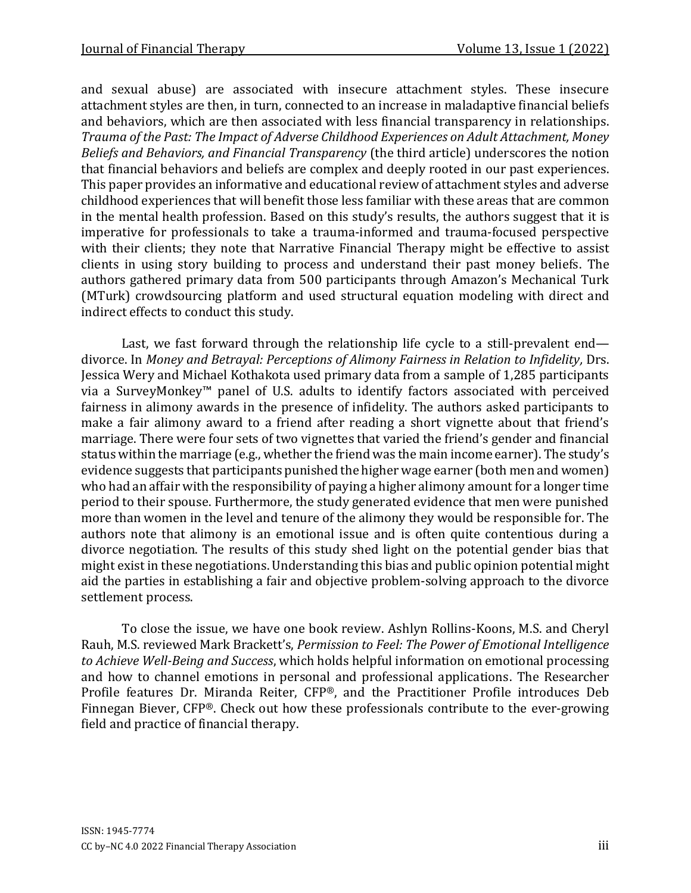and sexual abuse) are associated with insecure attachment styles. These insecure attachment styles are then, in turn, connected to an increase in maladaptive financial beliefs and behaviors, which are then associated with less financial transparency in relationships. *Trauma of the Past: The Impact of Adverse Childhood Experiences on Adult Attachment, Money Beliefs and Behaviors, and Financial Transparency* (the third article) underscores the notion that financial behaviors and beliefs are complex and deeply rooted in our past experiences. This paper provides an informative and educational review of attachment styles and adverse childhood experiences that will benefit those less familiar with these areas that are common in the mental health profession. Based on this study's results, the authors suggest that it is imperative for professionals to take a trauma-informed and trauma-focused perspective with their clients; they note that Narrative Financial Therapy might be effective to assist clients in using story building to process and understand their past money beliefs. The authors gathered primary data from 500 participants through Amazon's Mechanical Turk (MTurk) crowdsourcing platform and used structural equation modeling with direct and indirect effects to conduct this study.

Last, we fast forward through the relationship life cycle to a still-prevalent end divorce. In *Money and Betrayal: Perceptions of Alimony Fairness in Relation to Infidelity,* Drs. Jessica Wery and Michael Kothakota used primary data from a sample of 1,285 participants via a SurveyMonkey™ panel of U.S. adults to identify factors associated with perceived fairness in alimony awards in the presence of infidelity. The authors asked participants to make a fair alimony award to a friend after reading a short vignette about that friend's marriage. There were four sets of two vignettes that varied the friend's gender and financial status within the marriage (e.g., whether the friend was the main income earner). The study's evidence suggests that participants punished the higher wage earner (both men and women) who had an affair with the responsibility of paying a higher alimony amount for a longer time period to their spouse. Furthermore, the study generated evidence that men were punished more than women in the level and tenure of the alimony they would be responsible for. The authors note that alimony is an emotional issue and is often quite contentious during a divorce negotiation. The results of this study shed light on the potential gender bias that might exist in these negotiations. Understanding this bias and public opinion potential might aid the parties in establishing a fair and objective problem-solving approach to the divorce settlement process.

To close the issue, we have one book review. Ashlyn Rollins-Koons, M.S. and Cheryl Rauh, M.S. reviewed Mark Brackett's, *Permission to Feel: The Power of Emotional Intelligence to Achieve Well-Being and Success*, which holds helpful information on emotional processing and how to channel emotions in personal and professional applications. The Researcher Profile features Dr. Miranda Reiter, CFP®, and the Practitioner Profile introduces Deb Finnegan Biever, CFP®. Check out how these professionals contribute to the ever-growing field and practice of financial therapy.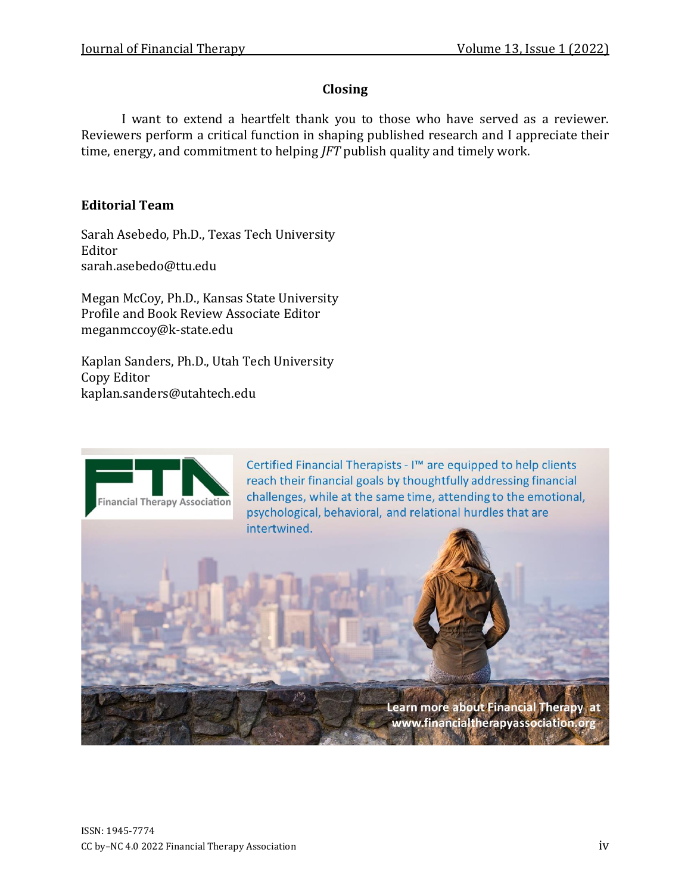### **Closing**

I want to extend a heartfelt thank you to those who have served as a reviewer. Reviewers perform a critical function in shaping published research and I appreciate their time, energy, and commitment to helping *JFT* publish quality and timely work.

### **Editorial Team**

Sarah Asebedo, Ph.D., Texas Tech University Editor sarah.asebedo@ttu.edu

Megan McCoy, Ph.D., Kansas State University Profile and Book Review Associate Editor meganmccoy@k-state.edu

Kaplan Sanders, Ph.D., Utah Tech University Copy Editor kaplan.sanders@utahtech.edu



Certified Financial Therapists - I™ are equipped to help clients reach their financial goals by thoughtfully addressing financial challenges, while at the same time, attending to the emotional, psychological, behavioral, and relational hurdles that are intertwined.

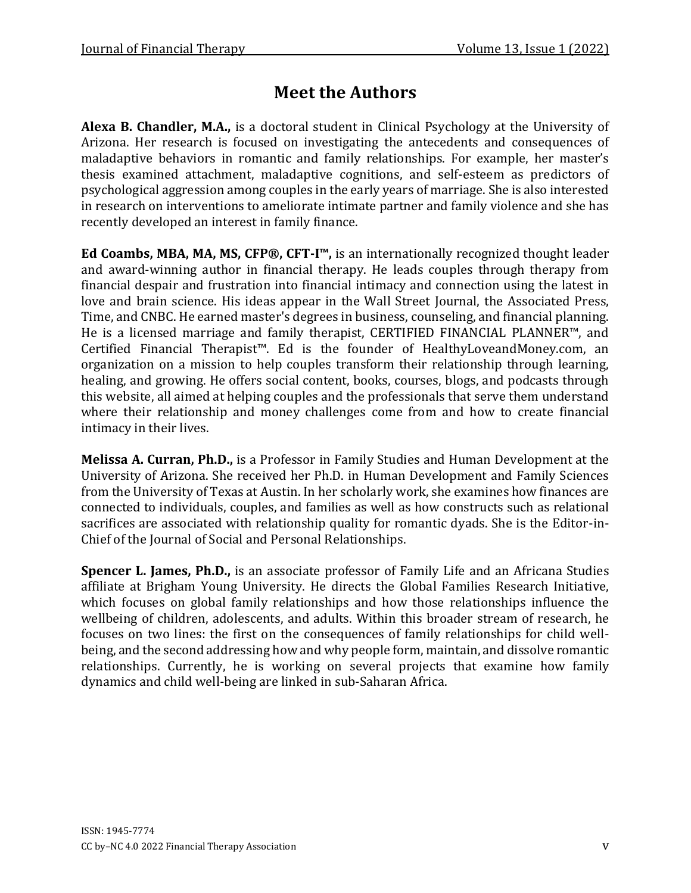# **Meet the Authors**

**Alexa B. Chandler, M.A.,** is a doctoral student in Clinical Psychology at the University of Arizona. Her research is focused on investigating the antecedents and consequences of maladaptive behaviors in romantic and family relationships. For example, her master's thesis examined attachment, maladaptive cognitions, and self-esteem as predictors of psychological aggression among couples in the early years of marriage. She is also interested in research on interventions to ameliorate intimate partner and family violence and she has recently developed an interest in family finance.

**Ed Coambs, MBA, MA, MS, CFP®, CFT-I™,** is an internationally recognized thought leader and award-winning author in financial therapy. He leads couples through therapy from financial despair and frustration into financial intimacy and connection using the latest in love and brain science. His ideas appear in the Wall Street Journal, the Associated Press, Time, and CNBC. He earned master's degrees in business, counseling, and financial planning. He is a licensed marriage and family therapist, CERTIFIED FINANCIAL PLANNER™, and Certified Financial Therapist™. Ed is the founder of HealthyLoveandMoney.com, an organization on a mission to help couples transform their relationship through learning, healing, and growing. He offers social content, books, courses, blogs, and podcasts through this website, all aimed at helping couples and the professionals that serve them understand where their relationship and money challenges come from and how to create financial intimacy in their lives.

**Melissa A. Curran, Ph.D.,** is a Professor in Family Studies and Human Development at the University of Arizona. She received her Ph.D. in Human Development and Family Sciences from the University of Texas at Austin. In her scholarly work, she examines how finances are connected to individuals, couples, and families as well as how constructs such as relational sacrifices are associated with relationship quality for romantic dyads. She is the Editor-in-Chief of the Journal of Social and Personal Relationships.

**Spencer L. James, Ph.D.,** is an associate professor of Family Life and an Africana Studies affiliate at Brigham Young University. He directs the Global Families Research Initiative, which focuses on global family relationships and how those relationships influence the wellbeing of children, adolescents, and adults. Within this broader stream of research, he focuses on two lines: the first on the consequences of family relationships for child wellbeing, and the second addressing how and why people form, maintain, and dissolve romantic relationships. Currently, he is working on several projects that examine how family dynamics and child well-being are linked in sub-Saharan Africa.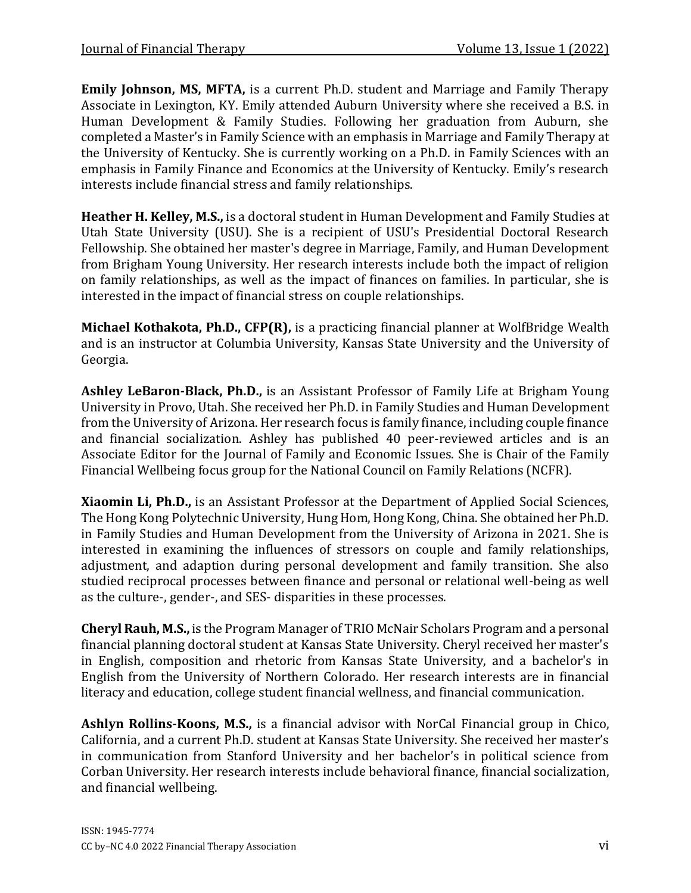**Emily Johnson, MS, MFTA,** is a current Ph.D. student and Marriage and Family Therapy Associate in Lexington, KY. Emily attended Auburn University where she received a B.S. in Human Development & Family Studies. Following her graduation from Auburn, she completed a Master's in Family Science with an emphasis in Marriage and Family Therapy at the University of Kentucky. She is currently working on a Ph.D. in Family Sciences with an emphasis in Family Finance and Economics at the University of Kentucky. Emily's research interests include financial stress and family relationships.

**Heather H. Kelley, M.S.,** is a doctoral student in Human Development and Family Studies at Utah State University (USU). She is a recipient of USU's Presidential Doctoral Research Fellowship. She obtained her master's degree in Marriage, Family, and Human Development from Brigham Young University. Her research interests include both the impact of religion on family relationships, as well as the impact of finances on families. In particular, she is interested in the impact of financial stress on couple relationships.

**Michael Kothakota, Ph.D., CFP(R),** is a practicing financial planner at WolfBridge Wealth and is an instructor at Columbia University, Kansas State University and the University of Georgia.

**Ashley LeBaron-Black, Ph.D.,** is an Assistant Professor of Family Life at Brigham Young University in Provo, Utah. She received her Ph.D. in Family Studies and Human Development from the University of Arizona. Her research focus is family finance, including couple finance and financial socialization. Ashley has published 40 peer-reviewed articles and is an Associate Editor for the Journal of Family and Economic Issues. She is Chair of the Family Financial Wellbeing focus group for the National Council on Family Relations (NCFR).

**Xiaomin Li, Ph.D.,** is an Assistant Professor at the Department of Applied Social Sciences, The Hong Kong Polytechnic University, Hung Hom, Hong Kong, China. She obtained her Ph.D. in Family Studies and Human Development from the University of Arizona in 2021. She is interested in examining the influences of stressors on couple and family relationships, adjustment, and adaption during personal development and family transition. She also studied reciprocal processes between finance and personal or relational well-being as well as the culture-, gender-, and SES- disparities in these processes.

**Cheryl Rauh, M.S.,** is the Program Manager of TRIO McNair Scholars Program and a personal financial planning doctoral student at Kansas State University. Cheryl received her master's in English, composition and rhetoric from Kansas State University, and a bachelor's in English from the University of Northern Colorado. Her research interests are in financial literacy and education, college student financial wellness, and financial communication.

**Ashlyn Rollins-Koons, M.S.,** is a financial advisor with NorCal Financial group in Chico, California, and a current Ph.D. student at Kansas State University. She received her master's in communication from Stanford University and her bachelor's in political science from Corban University. Her research interests include behavioral finance, financial socialization, and financial wellbeing.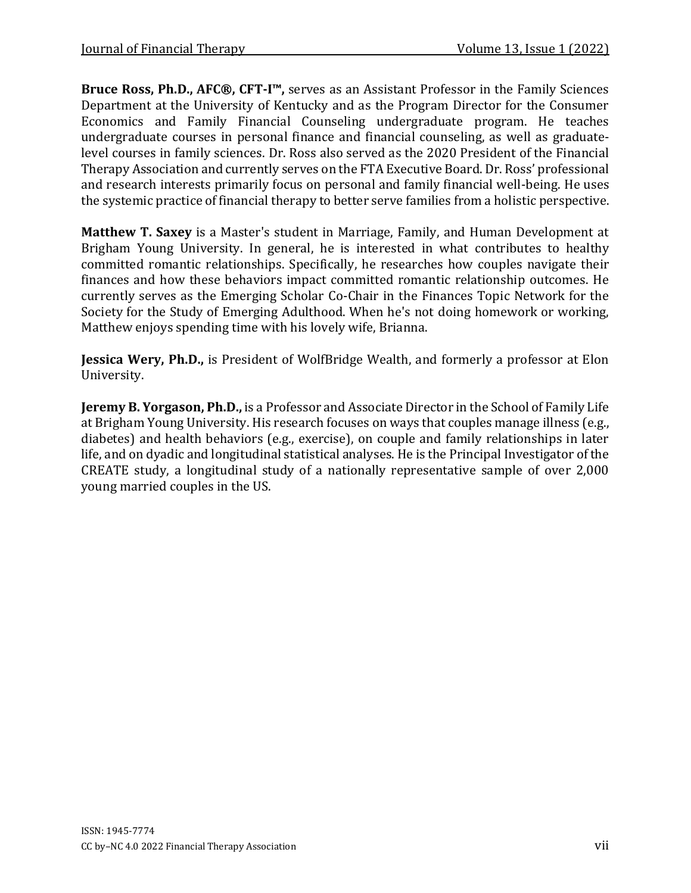**Bruce Ross, Ph.D., AFC®, CFT-I™,** serves as an Assistant Professor in the Family Sciences Department at the University of Kentucky and as the Program Director for the Consumer Economics and Family Financial Counseling undergraduate program. He teaches undergraduate courses in personal finance and financial counseling, as well as graduatelevel courses in family sciences. Dr. Ross also served as the 2020 President of the Financial Therapy Association and currently serves on the FTA Executive Board. Dr. Ross' professional and research interests primarily focus on personal and family financial well-being. He uses the systemic practice of financial therapy to better serve families from a holistic perspective.

**Matthew T. Saxey** is a Master's student in Marriage, Family, and Human Development at Brigham Young University. In general, he is interested in what contributes to healthy committed romantic relationships. Specifically, he researches how couples navigate their finances and how these behaviors impact committed romantic relationship outcomes. He currently serves as the Emerging Scholar Co-Chair in the Finances Topic Network for the Society for the Study of Emerging Adulthood. When he's not doing homework or working, Matthew enjoys spending time with his lovely wife, Brianna.

**Jessica Wery, Ph.D.,** is President of WolfBridge Wealth, and formerly a professor at Elon University.

**Jeremy B. Yorgason, Ph.D.,** is a Professor and Associate Director in the School of Family Life at Brigham Young University. His research focuses on ways that couples manage illness (e.g., diabetes) and health behaviors (e.g., exercise), on couple and family relationships in later life, and on dyadic and longitudinal statistical analyses. He is the Principal Investigator of the CREATE study, a longitudinal study of a nationally representative sample of over 2,000 young married couples in the US.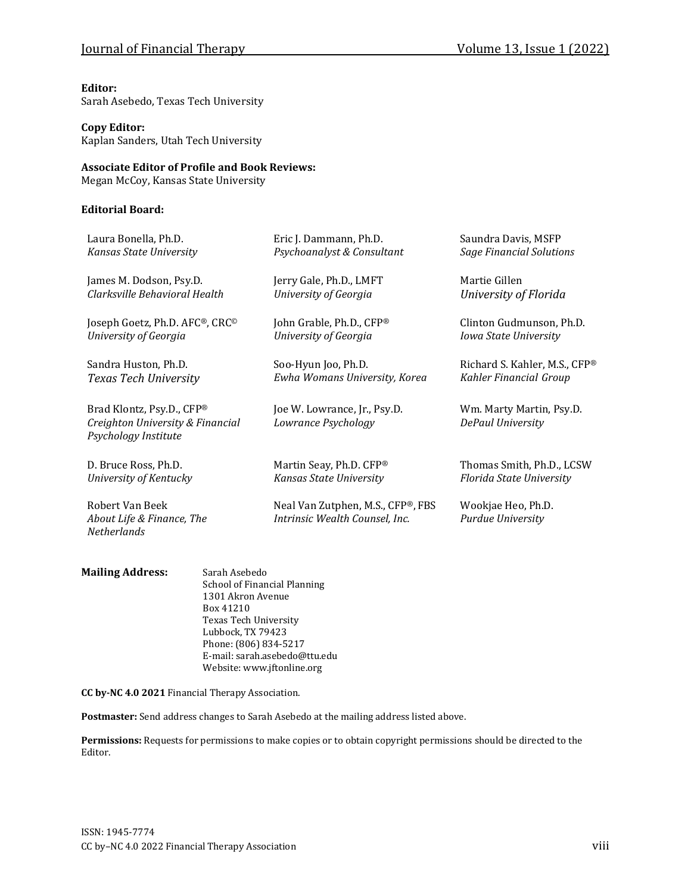### Journal of Financial Therapy Volume 13, Issue 1 (2022)

#### **Editor:**

Sarah Asebedo, Texas Tech University

#### **Copy Editor:**

Kaplan Sanders, Utah Tech University

### **Associate Editor of Profile and Book Reviews:**

Megan McCoy, Kansas State University

#### **Editorial Board:**

| Laura Bonella, Ph.D.                                                                  | Eric J. Dammann, Ph.D.                                              | Saundra Davis, MSFP                           |
|---------------------------------------------------------------------------------------|---------------------------------------------------------------------|-----------------------------------------------|
| Kansas State University                                                               | Psychoanalyst & Consultant                                          | <b>Sage Financial Solutions</b>               |
| James M. Dodson, Psy.D.                                                               | Jerry Gale, Ph.D., LMFT                                             | Martie Gillen                                 |
| Clarksville Behavioral Health                                                         | University of Georgia                                               | University of Florida                         |
| Joseph Goetz, Ph.D. AFC®, CRC <sup>®</sup>                                            | John Grable, Ph.D., CFP®                                            | Clinton Gudmunson, Ph.D.                      |
| University of Georgia                                                                 | University of Georgia                                               | Iowa State University                         |
| Sandra Huston, Ph.D.                                                                  | Soo-Hyun Joo, Ph.D.                                                 | Richard S. Kahler, M.S., CFP®                 |
| Texas Tech University                                                                 | Ewha Womans University, Korea                                       | Kahler Financial Group                        |
| Brad Klontz, Psy.D., CFP®<br>Creighton University & Financial<br>Psychology Institute | Joe W. Lowrance, Jr., Psy.D.<br>Lowrance Psychology                 | Wm. Marty Martin, Psy.D.<br>DePaul University |
| D. Bruce Ross, Ph.D.                                                                  | Martin Seay, Ph.D. CFP®                                             | Thomas Smith, Ph.D., LCSW                     |
| University of Kentucky                                                                | Kansas State University                                             | Florida State University                      |
| Robert Van Beek<br>About Life & Finance, The<br><b>Netherlands</b>                    | Neal Van Zutphen, M.S., CFP®, FBS<br>Intrinsic Wealth Counsel, Inc. | Wookjae Heo, Ph.D.<br>Purdue University       |

| <b>Mailing Address:</b> | Sarah Asebedo                 |  |
|-------------------------|-------------------------------|--|
|                         | School of Financial Planning  |  |
|                         | 1301 Akron Avenue             |  |
|                         | Box 41210                     |  |
|                         | <b>Texas Tech University</b>  |  |
|                         | Lubbock, TX 79423             |  |
|                         | Phone: (806) 834-5217         |  |
|                         | E-mail: sarah.asebedo@ttu.edu |  |

**CC by-NC 4.0 2021** Financial Therapy Association.

**Postmaster:** Send address changes to Sarah Asebedo at the mailing address listed above.

Website: www.jftonline.org

**Permissions:** Requests for permissions to make copies or to obtain copyright permissions should be directed to the Editor.